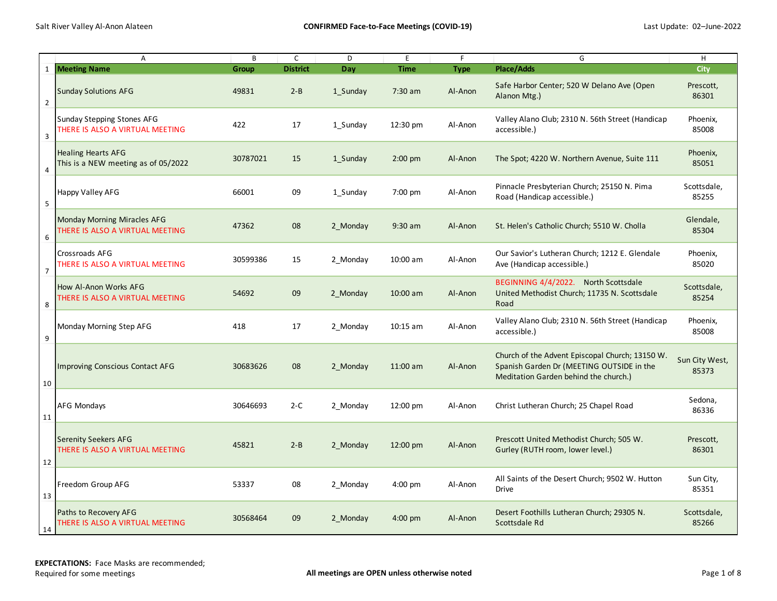|                | Α                                                                     | B        | $\mathsf C$     | D        | E                  | F           | G                                                                                                                                     | H                       |
|----------------|-----------------------------------------------------------------------|----------|-----------------|----------|--------------------|-------------|---------------------------------------------------------------------------------------------------------------------------------------|-------------------------|
|                | 1 Meeting Name                                                        | Group    | <b>District</b> | Day      | <b>Time</b>        | <b>Type</b> | <b>Place/Adds</b>                                                                                                                     | City                    |
| $\overline{2}$ | <b>Sunday Solutions AFG</b>                                           | 49831    | $2 - B$         | 1 Sunday | 7:30 am            | Al-Anon     | Safe Harbor Center; 520 W Delano Ave (Open<br>Alanon Mtg.)                                                                            | Prescott,<br>86301      |
| $\mathbf{3}$   | Sunday Stepping Stones AFG<br>THERE IS ALSO A VIRTUAL MEETING         | 422      | 17              | 1 Sunday | 12:30 pm           | Al-Anon     | Valley Alano Club; 2310 N. 56th Street (Handicap<br>accessible.)                                                                      | Phoenix,<br>85008       |
| 4              | <b>Healing Hearts AFG</b><br>This is a NEW meeting as of 05/2022      | 30787021 | 15              | 1 Sunday | $2:00$ pm          | Al-Anon     | The Spot; 4220 W. Northern Avenue, Suite 111                                                                                          | Phoenix,<br>85051       |
| 5              | <b>Happy Valley AFG</b>                                               | 66001    | 09              | 1 Sunday | $7:00$ pm          | Al-Anon     | Pinnacle Presbyterian Church; 25150 N. Pima<br>Road (Handicap accessible.)                                                            | Scottsdale,<br>85255    |
| 6              | <b>Monday Morning Miracles AFG</b><br>THERE IS ALSO A VIRTUAL MEETING | 47362    | 08              | 2 Monday | $9:30$ am          | Al-Anon     | St. Helen's Catholic Church; 5510 W. Cholla                                                                                           | Glendale,<br>85304      |
| $\overline{7}$ | <b>Crossroads AFG</b><br>THERE IS ALSO A VIRTUAL MEETING              | 30599386 | 15              | 2 Monday | 10:00 am           | Al-Anon     | Our Savior's Lutheran Church; 1212 E. Glendale<br>Ave (Handicap accessible.)                                                          | Phoenix,<br>85020       |
| 8              | How Al-Anon Works AFG<br>THERE IS ALSO A VIRTUAL MEETING              | 54692    | 09              | 2 Monday | $10:00$ am         | Al-Anon     | BEGINNING 4/4/2022. North Scottsdale<br>United Methodist Church; 11735 N. Scottsdale<br>Road                                          | Scottsdale,<br>85254    |
| 9              | Monday Morning Step AFG                                               | 418      | 17              | 2 Monday | $10:15$ am         | Al-Anon     | Valley Alano Club; 2310 N. 56th Street (Handicap<br>accessible.)                                                                      | Phoenix,<br>85008       |
| 10             | Improving Conscious Contact AFG                                       | 30683626 | 08              | 2 Monday | $11:00$ am         | Al-Anon     | Church of the Advent Episcopal Church; 13150 W.<br>Spanish Garden Dr (MEETING OUTSIDE in the<br>Meditation Garden behind the church.) | Sun City West,<br>85373 |
| 11             | <b>AFG Mondays</b>                                                    | 30646693 | $2-C$           | 2 Monday | $12:00 \text{ pm}$ | Al-Anon     | Christ Lutheran Church; 25 Chapel Road                                                                                                | Sedona,<br>86336        |
| 12             | <b>Serenity Seekers AFG</b><br>THERE IS ALSO A VIRTUAL MEETING        | 45821    | $2 - B$         | 2 Monday | $12:00 \text{ pm}$ | Al-Anon     | Prescott United Methodist Church; 505 W.<br>Gurley (RUTH room, lower level.)                                                          | Prescott,<br>86301      |
| 13             | Freedom Group AFG                                                     | 53337    | 08              | 2 Monday | $4:00 \text{ pm}$  | Al-Anon     | All Saints of the Desert Church; 9502 W. Hutton<br>Drive                                                                              | Sun City,<br>85351      |
| 14             | Paths to Recovery AFG<br>THERE IS ALSO A VIRTUAL MEETING              | 30568464 | 09              | 2 Monday | $4:00$ pm          | Al-Anon     | Desert Foothills Lutheran Church; 29305 N.<br>Scottsdale Rd                                                                           | Scottsdale,<br>85266    |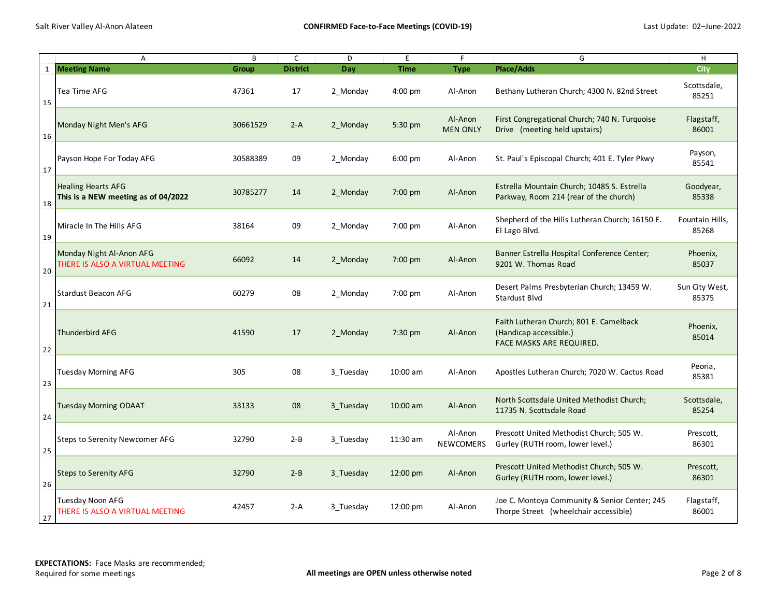|    | Α                                                                | B            | $\mathsf{C}$    | D         | E                  | F.                          | G                                                                                             | H                        |
|----|------------------------------------------------------------------|--------------|-----------------|-----------|--------------------|-----------------------------|-----------------------------------------------------------------------------------------------|--------------------------|
|    | 1 Meeting Name                                                   | <b>Group</b> | <b>District</b> | Day       | <b>Time</b>        | <b>Type</b>                 | <b>Place/Adds</b>                                                                             | <b>City</b>              |
| 15 | Tea Time AFG                                                     | 47361        | 17              | 2 Monday  | $4:00$ pm          | Al-Anon                     | Bethany Lutheran Church; 4300 N. 82nd Street                                                  | Scottsdale,<br>85251     |
| 16 | Monday Night Men's AFG                                           | 30661529     | $2-A$           | 2 Monday  | 5:30 pm            | Al-Anon<br><b>MEN ONLY</b>  | First Congregational Church; 740 N. Turquoise<br>Drive (meeting held upstairs)                | Flagstaff,<br>86001      |
| 17 | Payson Hope For Today AFG                                        | 30588389     | 09              | 2 Monday  | $6:00$ pm          | Al-Anon                     | St. Paul's Episcopal Church; 401 E. Tyler Pkwy                                                | Payson,<br>85541         |
| 18 | <b>Healing Hearts AFG</b><br>This is a NEW meeting as of 04/2022 | 30785277     | 14              | 2 Monday  | 7:00 pm            | Al-Anon                     | Estrella Mountain Church; 10485 S. Estrella<br>Parkway, Room 214 (rear of the church)         | Goodyear,<br>85338       |
| 19 | Miracle In The Hills AFG                                         | 38164        | 09              | 2 Monday  | 7:00 pm            | Al-Anon                     | Shepherd of the Hills Lutheran Church; 16150 E.<br>El Lago Blvd.                              | Fountain Hills,<br>85268 |
| 20 | Monday Night Al-Anon AFG<br>THERE IS ALSO A VIRTUAL MEETING      | 66092        | 14              | 2 Monday  | 7:00 pm            | Al-Anon                     | Banner Estrella Hospital Conference Center;<br>9201 W. Thomas Road                            | Phoenix,<br>85037        |
| 21 | <b>Stardust Beacon AFG</b>                                       | 60279        | 08              | 2 Monday  | 7:00 pm            | Al-Anon                     | Desert Palms Presbyterian Church; 13459 W.<br><b>Stardust Blvd</b>                            | Sun City West,<br>85375  |
| 22 | Thunderbird AFG                                                  | 41590        | 17              | 2 Monday  | 7:30 pm            | Al-Anon                     | Faith Lutheran Church; 801 E. Camelback<br>(Handicap accessible.)<br>FACE MASKS ARE REQUIRED. | Phoenix,<br>85014        |
| 23 | Tuesday Morning AFG                                              | 305          | 08              | 3 Tuesday | 10:00 am           | Al-Anon                     | Apostles Lutheran Church; 7020 W. Cactus Road                                                 | Peoria,<br>85381         |
| 24 | <b>Tuesday Morning ODAAT</b>                                     | 33133        | 08              | 3 Tuesday | $10:00$ am         | Al-Anon                     | North Scottsdale United Methodist Church;<br>11735 N. Scottsdale Road                         | Scottsdale,<br>85254     |
| 25 | Steps to Serenity Newcomer AFG                                   | 32790        | $2 - B$         | 3 Tuesday | 11:30 am           | Al-Anon<br><b>NEWCOMERS</b> | Prescott United Methodist Church; 505 W.<br>Gurley (RUTH room, lower level.)                  | Prescott,<br>86301       |
| 26 | Steps to Serenity AFG                                            | 32790        | $2 - B$         | 3 Tuesday | $12:00 \text{ pm}$ | Al-Anon                     | Prescott United Methodist Church; 505 W.<br>Gurley (RUTH room, lower level.)                  | Prescott,<br>86301       |
| 27 | Tuesday Noon AFG<br>THERE IS ALSO A VIRTUAL MEETING              | 42457        | $2-A$           | 3 Tuesday | $12:00 \text{ pm}$ | Al-Anon                     | Joe C. Montoya Community & Senior Center; 245<br>Thorpe Street (wheelchair accessible)        | Flagstaff,<br>86001      |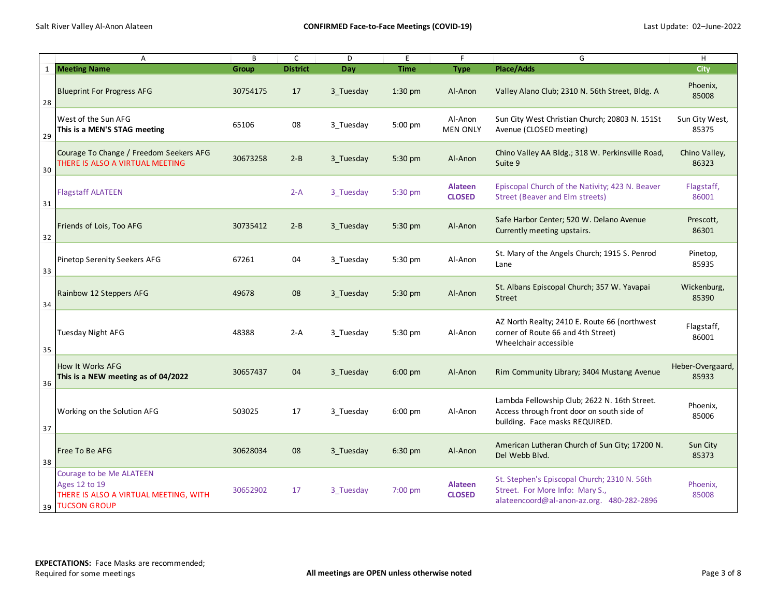|    | A                                                                                                     | B        | $\mathsf{C}$    | D         | E           | F                               | G                                                                                                                            | H                         |
|----|-------------------------------------------------------------------------------------------------------|----------|-----------------|-----------|-------------|---------------------------------|------------------------------------------------------------------------------------------------------------------------------|---------------------------|
|    | 1 Meeting Name                                                                                        | Group    | <b>District</b> | Day       | <b>Time</b> | <b>Type</b>                     | Place/Adds                                                                                                                   | <b>City</b>               |
| 28 | <b>Blueprint For Progress AFG</b>                                                                     | 30754175 | 17              | 3 Tuesday | $1:30$ pm   | Al-Anon                         | Valley Alano Club; 2310 N. 56th Street, Bldg. A                                                                              | Phoenix,<br>85008         |
| 29 | West of the Sun AFG<br>This is a MEN'S STAG meeting                                                   | 65106    | 08              | 3 Tuesday | 5:00 pm     | Al-Anon<br><b>MEN ONLY</b>      | Sun City West Christian Church; 20803 N. 151St<br>Avenue (CLOSED meeting)                                                    | Sun City West,<br>85375   |
| 30 | Courage To Change / Freedom Seekers AFG<br>THERE IS ALSO A VIRTUAL MEETING                            | 30673258 | $2 - B$         | 3 Tuesday | 5:30 pm     | Al-Anon                         | Chino Valley AA Bldg.; 318 W. Perkinsville Road,<br>Suite 9                                                                  | Chino Valley,<br>86323    |
| 31 | <b>Flagstaff ALATEEN</b>                                                                              |          | $2-A$           | 3 Tuesday | 5:30 pm     | <b>Alateen</b><br><b>CLOSED</b> | Episcopal Church of the Nativity; 423 N. Beaver<br><b>Street (Beaver and Elm streets)</b>                                    | Flagstaff,<br>86001       |
| 32 | Friends of Lois, Too AFG                                                                              | 30735412 | $2 - B$         | 3 Tuesday | 5:30 pm     | Al-Anon                         | Safe Harbor Center; 520 W. Delano Avenue<br>Currently meeting upstairs.                                                      | Prescott,<br>86301        |
| 33 | Pinetop Serenity Seekers AFG                                                                          | 67261    | 04              | 3 Tuesday | 5:30 pm     | Al-Anon                         | St. Mary of the Angels Church; 1915 S. Penrod<br>Lane                                                                        | Pinetop,<br>85935         |
| 34 | Rainbow 12 Steppers AFG                                                                               | 49678    | 08              | 3 Tuesday | 5:30 pm     | Al-Anon                         | St. Albans Episcopal Church; 357 W. Yavapai<br><b>Street</b>                                                                 | Wickenburg,<br>85390      |
| 35 | Tuesday Night AFG                                                                                     | 48388    | $2-A$           | 3 Tuesday | 5:30 pm     | Al-Anon                         | AZ North Realty; 2410 E. Route 66 (northwest<br>corner of Route 66 and 4th Street)<br>Wheelchair accessible                  | Flagstaff,<br>86001       |
| 36 | How It Works AFG<br>This is a NEW meeting as of 04/2022                                               | 30657437 | 04              | 3 Tuesday | $6:00$ pm   | Al-Anon                         | Rim Community Library; 3404 Mustang Avenue                                                                                   | Heber-Overgaard,<br>85933 |
| 37 | Working on the Solution AFG                                                                           | 503025   | 17              | 3 Tuesday | $6:00$ pm   | Al-Anon                         | Lambda Fellowship Club; 2622 N. 16th Street.<br>Access through front door on south side of<br>building. Face masks REQUIRED. | Phoenix,<br>85006         |
| 38 | Free To Be AFG                                                                                        | 30628034 | 08              | 3 Tuesday | 6:30 pm     | Al-Anon                         | American Lutheran Church of Sun City; 17200 N.<br>Del Webb Blvd.                                                             | Sun City<br>85373         |
|    | Courage to be Me ALATEEN<br>Ages 12 to 19<br>THERE IS ALSO A VIRTUAL MEETING, WITH<br>39 TUCSON GROUP | 30652902 | 17              | 3 Tuesday | $7:00$ pm   | <b>Alateen</b><br><b>CLOSED</b> | St. Stephen's Episcopal Church; 2310 N. 56th<br>Street. For More Info: Mary S.,<br>alateencoord@al-anon-az.org. 480-282-2896 | Phoenix,<br>85008         |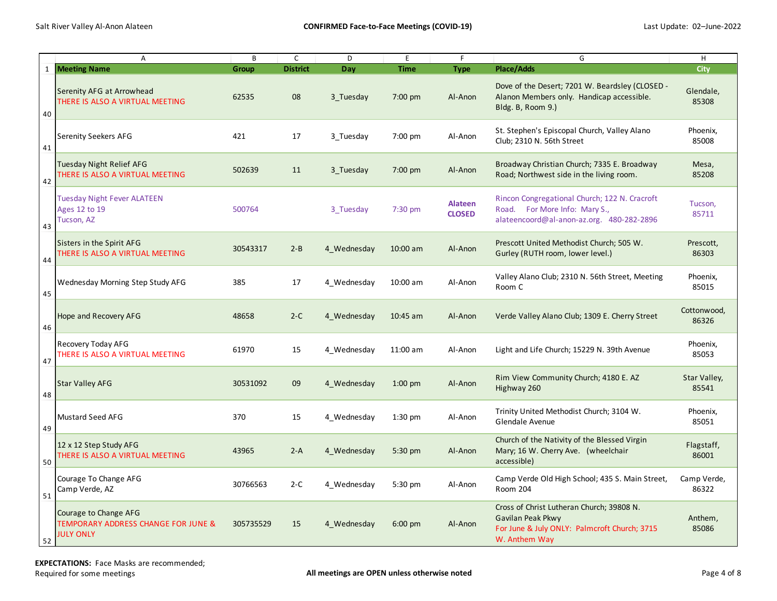|    | Α                                                                                           | B         | $\mathsf{C}$    | D           | E                 | $\mathsf F$                     | G                                                                                                                               | H                     |
|----|---------------------------------------------------------------------------------------------|-----------|-----------------|-------------|-------------------|---------------------------------|---------------------------------------------------------------------------------------------------------------------------------|-----------------------|
| 1  | <b>Meeting Name</b>                                                                         | Group     | <b>District</b> | Day         | <b>Time</b>       | <b>Type</b>                     | <b>Place/Adds</b>                                                                                                               | <b>City</b>           |
| 40 | Serenity AFG at Arrowhead<br>THERE IS ALSO A VIRTUAL MEETING                                | 62535     | 08              | 3 Tuesday   | $7:00$ pm         | Al-Anon                         | Dove of the Desert; 7201 W. Beardsley (CLOSED -<br>Alanon Members only. Handicap accessible.<br>Bldg. B, Room 9.)               | Glendale,<br>85308    |
| 41 | <b>Serenity Seekers AFG</b>                                                                 | 421       | 17              | 3 Tuesday   | 7:00 pm           | Al-Anon                         | St. Stephen's Episcopal Church, Valley Alano<br>Club; 2310 N. 56th Street                                                       | Phoenix,<br>85008     |
| 42 | Tuesday Night Relief AFG<br>THERE IS ALSO A VIRTUAL MEETING                                 | 502639    | 11              | 3 Tuesday   | $7:00 \text{ pm}$ | Al-Anon                         | Broadway Christian Church; 7335 E. Broadway<br>Road; Northwest side in the living room.                                         | Mesa,<br>85208        |
| 43 | <b>Tuesday Night Fever ALATEEN</b><br>Ages 12 to 19<br>Tucson, AZ                           | 500764    |                 | 3 Tuesday   | $7:30$ pm         | <b>Alateen</b><br><b>CLOSED</b> | Rincon Congregational Church; 122 N. Cracroft<br>Road. For More Info: Mary S.,<br>alateencoord@al-anon-az.org. 480-282-2896     | Tucson,<br>85711      |
| 44 | Sisters in the Spirit AFG<br>THERE IS ALSO A VIRTUAL MEETING                                | 30543317  | $2 - B$         | 4 Wednesday | $10:00$ am        | Al-Anon                         | Prescott United Methodist Church; 505 W.<br>Gurley (RUTH room, lower level.)                                                    | Prescott,<br>86303    |
| 45 | <b>Wednesday Morning Step Study AFG</b>                                                     | 385       | 17              | 4 Wednesday | 10:00 am          | Al-Anon                         | Valley Alano Club; 2310 N. 56th Street, Meeting<br>Room C                                                                       | Phoenix,<br>85015     |
| 46 | Hope and Recovery AFG                                                                       | 48658     | $2-C$           | 4 Wednesday | $10:45$ am        | Al-Anon                         | Verde Valley Alano Club; 1309 E. Cherry Street                                                                                  | Cottonwood,<br>86326  |
| 47 | Recovery Today AFG<br>THERE IS ALSO A VIRTUAL MEETING                                       | 61970     | 15              | 4 Wednesday | 11:00 am          | Al-Anon                         | Light and Life Church; 15229 N. 39th Avenue                                                                                     | Phoenix,<br>85053     |
| 48 | <b>Star Valley AFG</b>                                                                      | 30531092  | 09              | 4 Wednesday | $1:00$ pm         | Al-Anon                         | Rim View Community Church; 4180 E. AZ<br>Highway 260                                                                            | Star Valley,<br>85541 |
| 49 | Mustard Seed AFG                                                                            | 370       | 15              | 4 Wednesday | $1:30$ pm         | Al-Anon                         | Trinity United Methodist Church; 3104 W.<br>Glendale Avenue                                                                     | Phoenix,<br>85051     |
| 50 | 12 x 12 Step Study AFG<br>THERE IS ALSO A VIRTUAL MEETING                                   | 43965     | $2-A$           | 4 Wednesday | 5:30 pm           | Al-Anon                         | Church of the Nativity of the Blessed Virgin<br>Mary; 16 W. Cherry Ave. (wheelchair<br>accessible)                              | Flagstaff,<br>86001   |
| 51 | Courage To Change AFG<br>Camp Verde, AZ                                                     | 30766563  | $2-C$           | 4 Wednesday | 5:30 pm           | Al-Anon                         | Camp Verde Old High School; 435 S. Main Street,<br>Room 204                                                                     | Camp Verde,<br>86322  |
| 52 | Courage to Change AFG<br><b>TEMPORARY ADDRESS CHANGE FOR JUNE &amp;</b><br><b>JULY ONLY</b> | 305735529 | 15              | 4 Wednesday | $6:00 \text{ pm}$ | Al-Anon                         | Cross of Christ Lutheran Church; 39808 N.<br>Gavilan Peak Pkwy<br>For June & July ONLY: Palmcroft Church; 3715<br>W. Anthem Way | Anthem,<br>85086      |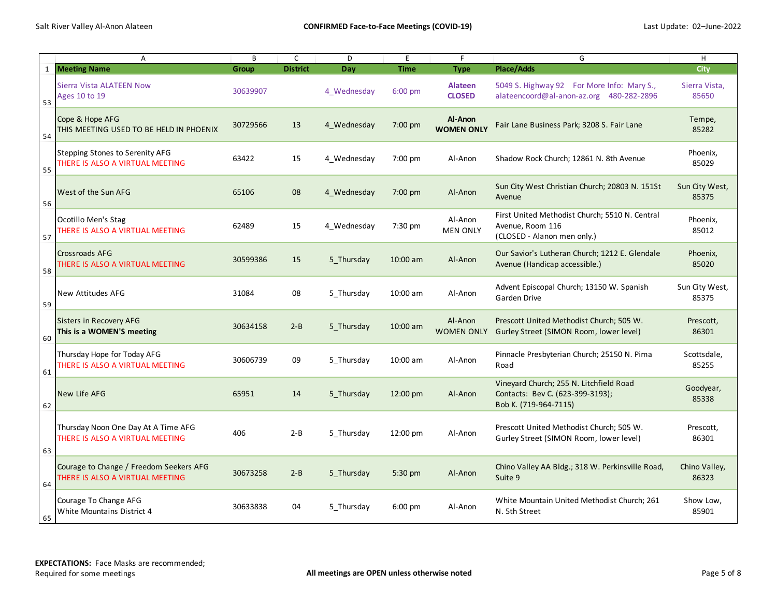|    | $\overline{A}$                                                             | B        | $\mathsf{C}$    | D           | E           | F                               | G                                                                                                    | H                       |
|----|----------------------------------------------------------------------------|----------|-----------------|-------------|-------------|---------------------------------|------------------------------------------------------------------------------------------------------|-------------------------|
| 1  | <b>Meeting Name</b>                                                        | Group    | <b>District</b> | Day         | <b>Time</b> | <b>Type</b>                     | <b>Place/Adds</b>                                                                                    | City                    |
| 53 | Sierra Vista ALATEEN Now<br>Ages 10 to 19                                  | 30639907 |                 | 4 Wednesday | $6:00$ pm   | <b>Alateen</b><br><b>CLOSED</b> | 5049 S. Highway 92 For More Info: Mary S.,<br>alateencoord@al-anon-az.org 480-282-2896               | Sierra Vista,<br>85650  |
| 54 | Cope & Hope AFG<br>THIS MEETING USED TO BE HELD IN PHOENIX                 | 30729566 | 13              | 4 Wednesday | 7:00 pm     | Al-Anon<br><b>WOMEN ONLY</b>    | Fair Lane Business Park; 3208 S. Fair Lane                                                           | Tempe,<br>85282         |
| 55 | <b>Stepping Stones to Serenity AFG</b><br>THERE IS ALSO A VIRTUAL MEETING  | 63422    | 15              | 4 Wednesday | 7:00 pm     | Al-Anon                         | Shadow Rock Church; 12861 N. 8th Avenue                                                              | Phoenix,<br>85029       |
| 56 | <b>West of the Sun AFG</b>                                                 | 65106    | 08              | 4 Wednesday | $7:00$ pm   | Al-Anon                         | Sun City West Christian Church; 20803 N. 151St<br>Avenue                                             | Sun City West,<br>85375 |
| 57 | Ocotillo Men's Stag<br>THERE IS ALSO A VIRTUAL MEETING                     | 62489    | 15              | 4 Wednesday | 7:30 pm     | Al-Anon<br><b>MEN ONLY</b>      | First United Methodist Church; 5510 N. Central<br>Avenue, Room 116<br>(CLOSED - Alanon men only.)    | Phoenix,<br>85012       |
| 58 | <b>Crossroads AFG</b><br>THERE IS ALSO A VIRTUAL MEETING                   | 30599386 | 15              | 5 Thursday  | 10:00 am    | Al-Anon                         | Our Savior's Lutheran Church; 1212 E. Glendale<br>Avenue (Handicap accessible.)                      | Phoenix,<br>85020       |
| 59 | New Attitudes AFG                                                          | 31084    | 08              | 5 Thursday  | 10:00 am    | Al-Anon                         | Advent Episcopal Church; 13150 W. Spanish<br>Garden Drive                                            | Sun City West,<br>85375 |
| 60 | Sisters in Recovery AFG<br>This is a WOMEN'S meeting                       | 30634158 | $2 - B$         | 5 Thursday  | 10:00 am    | Al-Anon<br><b>WOMEN ONLY</b>    | Prescott United Methodist Church; 505 W.<br>Gurley Street (SIMON Room, lower level)                  | Prescott,<br>86301      |
| 61 | Thursday Hope for Today AFG<br>THERE IS ALSO A VIRTUAL MEETING             | 30606739 | 09              | 5 Thursday  | 10:00 am    | Al-Anon                         | Pinnacle Presbyterian Church; 25150 N. Pima<br>Road                                                  | Scottsdale,<br>85255    |
| 62 | New Life AFG                                                               | 65951    | 14              | 5 Thursday  | 12:00 pm    | Al-Anon                         | Vineyard Church; 255 N. Litchfield Road<br>Contacts: Bev C. (623-399-3193);<br>Bob K. (719-964-7115) | Goodyear,<br>85338      |
| 63 | Thursday Noon One Day At A Time AFG<br>THERE IS ALSO A VIRTUAL MEETING     | 406      | $2 - B$         | 5 Thursday  | 12:00 pm    | Al-Anon                         | Prescott United Methodist Church; 505 W.<br>Gurley Street (SIMON Room, lower level)                  | Prescott,<br>86301      |
| 64 | Courage to Change / Freedom Seekers AFG<br>THERE IS ALSO A VIRTUAL MEETING | 30673258 | $2 - B$         | 5 Thursday  | 5:30 pm     | Al-Anon                         | Chino Valley AA Bldg.; 318 W. Perkinsville Road,<br>Suite 9                                          | Chino Valley,<br>86323  |
| 65 | Courage To Change AFG<br>White Mountains District 4                        | 30633838 | 04              | 5 Thursday  | $6:00$ pm   | Al-Anon                         | White Mountain United Methodist Church; 261<br>N. 5th Street                                         | Show Low,<br>85901      |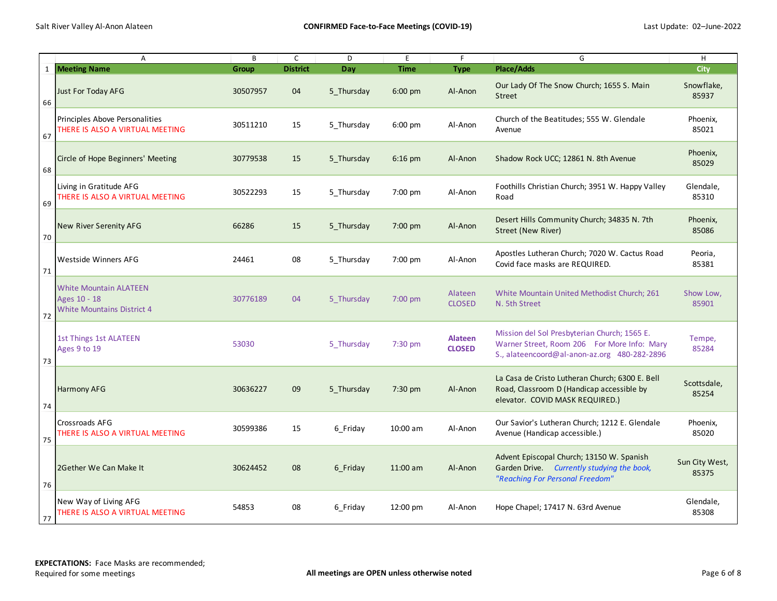|    | A                                                                                  | B            | $\mathsf C$     | D          | E           | F                               | G                                                                                                                                           | H                       |
|----|------------------------------------------------------------------------------------|--------------|-----------------|------------|-------------|---------------------------------|---------------------------------------------------------------------------------------------------------------------------------------------|-------------------------|
|    | 1 Meeting Name                                                                     | <b>Group</b> | <b>District</b> | Day        | <b>Time</b> | <b>Type</b>                     | Place/Adds                                                                                                                                  | <b>City</b>             |
| 66 | Just For Today AFG                                                                 | 30507957     | 04              | 5 Thursday | $6:00$ pm   | Al-Anon                         | Our Lady Of The Snow Church; 1655 S. Main<br><b>Street</b>                                                                                  | Snowflake,<br>85937     |
| 67 | Principles Above Personalities<br>THERE IS ALSO A VIRTUAL MEETING                  | 30511210     | 15              | 5 Thursday | $6:00$ pm   | Al-Anon                         | Church of the Beatitudes; 555 W. Glendale<br>Avenue                                                                                         | Phoenix,<br>85021       |
| 68 | Circle of Hope Beginners' Meeting                                                  | 30779538     | 15              | 5 Thursday | 6:16 pm     | Al-Anon                         | Shadow Rock UCC; 12861 N. 8th Avenue                                                                                                        | Phoenix,<br>85029       |
| 69 | Living in Gratitude AFG<br>THERE IS ALSO A VIRTUAL MEETING                         | 30522293     | 15              | 5_Thursday | 7:00 pm     | Al-Anon                         | Foothills Christian Church; 3951 W. Happy Valley<br>Road                                                                                    | Glendale,<br>85310      |
| 70 | New River Serenity AFG                                                             | 66286        | 15              | 5 Thursday | $7:00$ pm   | Al-Anon                         | Desert Hills Community Church; 34835 N. 7th<br>Street (New River)                                                                           | Phoenix,<br>85086       |
| 71 | <b>Westside Winners AFG</b>                                                        | 24461        | 08              | 5 Thursday | 7:00 pm     | Al-Anon                         | Apostles Lutheran Church; 7020 W. Cactus Road<br>Covid face masks are REQUIRED.                                                             | Peoria,<br>85381        |
| 72 | <b>White Mountain ALATEEN</b><br>Ages 10 - 18<br><b>White Mountains District 4</b> | 30776189     | 04              | 5 Thursday | $7:00$ pm   | Alateen<br><b>CLOSED</b>        | White Mountain United Methodist Church; 261<br>N. 5th Street                                                                                | Show Low,<br>85901      |
| 73 | 1st Things 1st ALATEEN<br>Ages 9 to 19                                             | 53030        |                 | 5 Thursday | 7:30 pm     | <b>Alateen</b><br><b>CLOSED</b> | Mission del Sol Presbyterian Church; 1565 E.<br>Warner Street, Room 206 For More Info: Mary<br>S., alateencoord@al-anon-az.org 480-282-2896 | Tempe,<br>85284         |
| 74 | <b>Harmony AFG</b>                                                                 | 30636227     | 09              | 5 Thursday | 7:30 pm     | Al-Anon                         | La Casa de Cristo Lutheran Church; 6300 E. Bell<br>Road, Classroom D (Handicap accessible by<br>elevator. COVID MASK REQUIRED.)             | Scottsdale,<br>85254    |
| 75 | <b>Crossroads AFG</b><br>THERE IS ALSO A VIRTUAL MEETING                           | 30599386     | 15              | 6 Friday   | 10:00 am    | Al-Anon                         | Our Savior's Lutheran Church; 1212 E. Glendale<br>Avenue (Handicap accessible.)                                                             | Phoenix,<br>85020       |
| 76 | 2Gether We Can Make It                                                             | 30624452     | 08              | 6 Friday   | $11:00$ am  | Al-Anon                         | Advent Episcopal Church; 13150 W. Spanish<br>Garden Drive. Currently studying the book,<br>"Reaching For Personal Freedom"                  | Sun City West,<br>85375 |
| 77 | New Way of Living AFG<br>THERE IS ALSO A VIRTUAL MEETING                           | 54853        | 08              | 6 Friday   | 12:00 pm    | Al-Anon                         | Hope Chapel; 17417 N. 63rd Avenue                                                                                                           | Glendale,<br>85308      |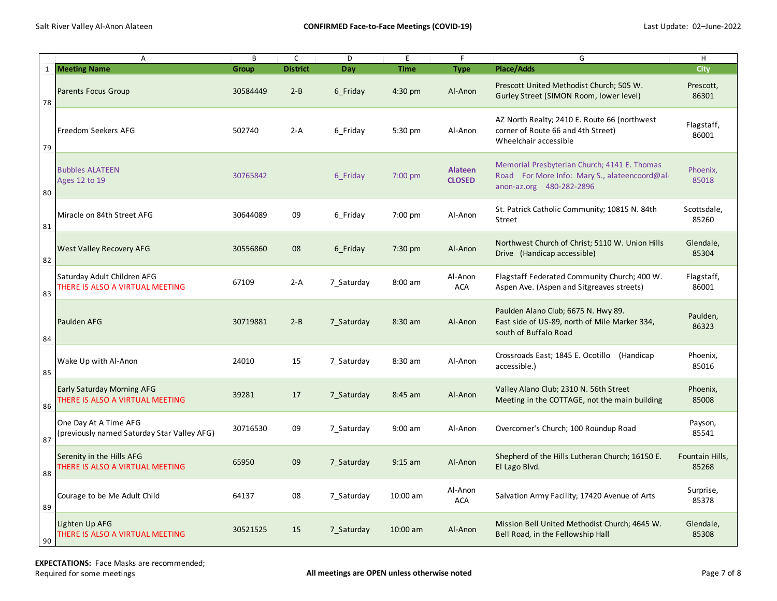|              | A                                                                    | B        | $\mathsf{C}$    | D          | E           | F.                              | G                                                                                                                         | H                        |
|--------------|----------------------------------------------------------------------|----------|-----------------|------------|-------------|---------------------------------|---------------------------------------------------------------------------------------------------------------------------|--------------------------|
| $\mathbf{1}$ | <b>Meeting Name</b>                                                  | Group    | <b>District</b> | Day        | <b>Time</b> | <b>Type</b>                     | <b>Place/Adds</b>                                                                                                         | <b>City</b>              |
| 78           | Parents Focus Group                                                  | 30584449 | $2 - B$         | 6 Friday   | $4:30$ pm   | Al-Anon                         | Prescott United Methodist Church; 505 W.<br>Gurley Street (SIMON Room, lower level)                                       | Prescott,<br>86301       |
| 79           | Freedom Seekers AFG                                                  | 502740   | $2-A$           | 6 Friday   | 5:30 pm     | Al-Anon                         | AZ North Realty; 2410 E. Route 66 (northwest<br>corner of Route 66 and 4th Street)<br>Wheelchair accessible               | Flagstaff,<br>86001      |
| 80           | <b>Bubbles ALATEEN</b><br>Ages 12 to 19                              | 30765842 |                 | 6 Friday   | $7:00$ pm   | <b>Alateen</b><br><b>CLOSED</b> | Memorial Presbyterian Church; 4141 E. Thomas<br>Road For More Info: Mary S., alateencoord@al-<br>anon-az.org 480-282-2896 | Phoenix,<br>85018        |
| 81           | Miracle on 84th Street AFG                                           | 30644089 | 09              | 6 Friday   | 7:00 pm     | Al-Anon                         | St. Patrick Catholic Community; 10815 N. 84th<br><b>Street</b>                                                            | Scottsdale,<br>85260     |
| 82           | West Valley Recovery AFG                                             | 30556860 | 08              | 6 Friday   | 7:30 pm     | Al-Anon                         | Northwest Church of Christ; 5110 W. Union Hills<br>Drive (Handicap accessible)                                            | Glendale,<br>85304       |
| 83           | Saturday Adult Children AFG<br>THERE IS ALSO A VIRTUAL MEETING       | 67109    | $2-A$           | 7 Saturday | $8:00$ am   | Al-Anon<br><b>ACA</b>           | Flagstaff Federated Community Church; 400 W.<br>Aspen Ave. (Aspen and Sitgreaves streets)                                 | Flagstaff,<br>86001      |
| 84           | Paulden AFG                                                          | 30719881 | $2 - B$         | 7 Saturday | 8:30 am     | Al-Anon                         | Paulden Alano Club; 6675 N. Hwy 89.<br>East side of US-89, north of Mile Marker 334,<br>south of Buffalo Road             | Paulden,<br>86323        |
| 85           | Wake Up with Al-Anon                                                 | 24010    | 15              | 7 Saturday | 8:30 am     | Al-Anon                         | Crossroads East; 1845 E. Ocotillo (Handicap<br>accessible.)                                                               | Phoenix,<br>85016        |
| 86           | Early Saturday Morning AFG<br>THERE IS ALSO A VIRTUAL MEETING        | 39281    | 17              | 7 Saturday | $8:45$ am   | Al-Anon                         | Valley Alano Club; 2310 N. 56th Street<br>Meeting in the COTTAGE, not the main building                                   | Phoenix,<br>85008        |
| 87           | One Day At A Time AFG<br>(previously named Saturday Star Valley AFG) | 30716530 | 09              | 7 Saturday | $9:00$ am   | Al-Anon                         | Overcomer's Church; 100 Roundup Road                                                                                      | Payson,<br>85541         |
| 88           | Serenity in the Hills AFG<br>THERE IS ALSO A VIRTUAL MEETING         | 65950    | 09              | 7 Saturday | $9:15$ am   | Al-Anon                         | Shepherd of the Hills Lutheran Church; 16150 E.<br>El Lago Blvd.                                                          | Fountain Hills,<br>85268 |
| 89           | Courage to be Me Adult Child                                         | 64137    | 08              | 7 Saturday | 10:00 am    | Al-Anon<br><b>ACA</b>           | Salvation Army Facility; 17420 Avenue of Arts                                                                             | Surprise,<br>85378       |
| 90           | Lighten Up AFG<br>THERE IS ALSO A VIRTUAL MEETING                    | 30521525 | 15              | 7 Saturday | 10:00 am    | Al-Anon                         | Mission Bell United Methodist Church; 4645 W.<br>Bell Road, in the Fellowship Hall                                        | Glendale,<br>85308       |